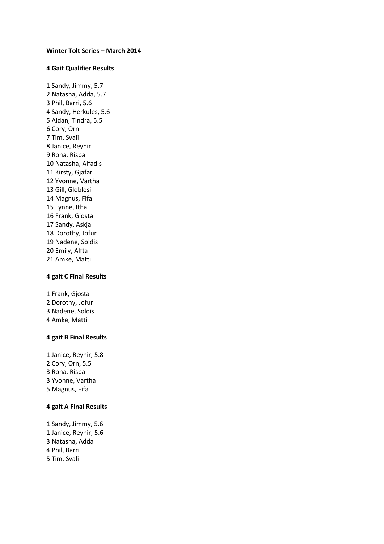#### **Winter Tolt Series – March 2014**

#### **4 Gait Qualifier Results**

1 Sandy, Jimmy, 5.7 2 Natasha, Adda, 5.7 3 Phil, Barri, 5.6 4 Sandy, Herkules, 5.6 5 Aidan, Tindra, 5.5 6 Cory, Orn 7 Tim, Svali 8 Janice, Reynir 9 Rona, Rispa 10 Natasha, Alfadis 11 Kirsty, Gjafar 12 Yvonne, Vartha 13 Gill, Globlesi 14 Magnus, Fifa 15 Lynne, Itha 16 Frank, Gjosta 17 Sandy, Askja 18 Dorothy, Jofur 19 Nadene, Soldis 20 Emily, Alfta 21 Amke, Matti

#### **4 gait C Final Results**

1 Frank, Gjosta Dorothy, Jofur Nadene, Soldis Amke, Matti

#### **4 gait B Final Results**

1 Janice, Reynir, 5.8 Cory, Orn, 5.5 Rona, Rispa Yvonne, Vartha Magnus, Fifa

### **4 gait A Final Results**

1 Sandy, Jimmy, 5.6 1 Janice, Reynir, 5.6 3 Natasha, Adda 4 Phil, Barri 5 Tim, Svali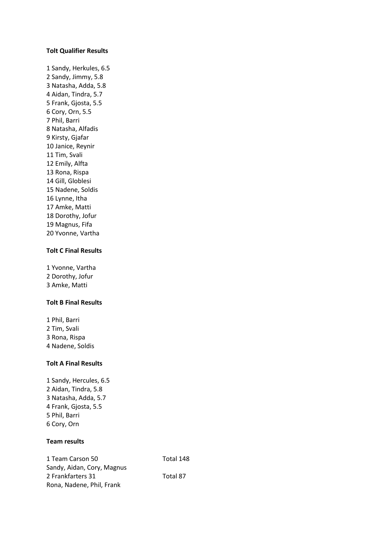### **Tolt Qualifier Results**

1 Sandy, Herkules, 6.5 2 Sandy, Jimmy, 5.8 3 Natasha, Adda, 5.8 4 Aidan, Tindra, 5.7 5 Frank, Gjosta, 5.5 6 Cory, Orn, 5.5 7 Phil, Barri 8 Natasha, Alfadis 9 Kirsty, Gjafar 10 Janice, Reynir 11 Tim, Svali 12 Emily, Alfta 13 Rona, Rispa 14 Gill, Globlesi 15 Nadene, Soldis 16 Lynne, Itha 17 Amke, Matti 18 Dorothy, Jofur 19 Magnus, Fifa 20 Yvonne, Vartha

## **Tolt C Final Results**

1 Yvonne, Vartha 2 Dorothy, Jofur 3 Amke, Matti

### **Tolt B Final Results**

1 Phil, Barri 2 Tim, Svali 3 Rona, Rispa 4 Nadene, Soldis

### **Tolt A Final Results**

1 Sandy, Hercules, 6.5 2 Aidan, Tindra, 5.8 3 Natasha, Adda, 5.7 4 Frank, Gjosta, 5.5 5 Phil, Barri 6 Cory, Orn

# **Team results**

| 1 Team Carson 50           | Total 148 |
|----------------------------|-----------|
| Sandy, Aidan, Cory, Magnus |           |
| 2 Frankfarters 31          | Total 87  |
| Rona, Nadene, Phil, Frank  |           |